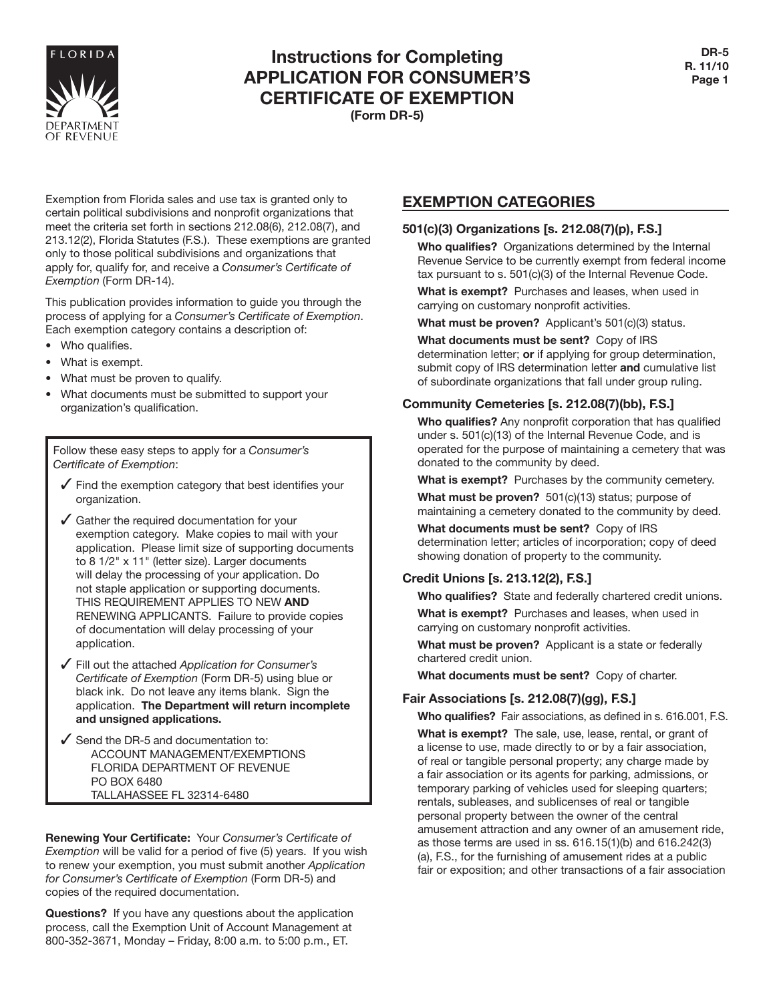

## **Instructions for Completing APPLICATION FOR CONSUMER'S CERTIFICATE OF EXEMPTION (Form DR-5)**

Exemption from Florida sales and use tax is granted only to certain political subdivisions and nonprofit organizations that meet the criteria set forth in sections 212.08(6), 212.08(7), and 213.12(2), Florida Statutes (F.S.). These exemptions are granted only to those political subdivisions and organizations that apply for, qualify for, and receive a *Consumer's Certificate of Exemption* (Form DR-14).

This publication provides information to guide you through the process of applying for a *Consumer's Certificate of Exemption*. Each exemption category contains a description of:

- Who qualifies.
- What is exempt.
- What must be proven to qualify.
- What documents must be submitted to support your organization's qualification.

Follow these easy steps to apply for a *Consumer's Certificate of Exemption*:

- $\sqrt{\ }$  Find the exemption category that best identifies your organization.
- $\checkmark$  Gather the required documentation for your exemption category. Make copies to mail with your application. Please limit size of supporting documents to 8 1/2" x 11" (letter size). Larger documents will delay the processing of your application. Do not staple application or supporting documents. THIS REQUIREMENT APPLIES TO NEW **AND**  RENEWING APPLICANTS. Failure to provide copies of documentation will delay processing of your application.
- ✓ Fill out the attached *Application for Consumer's Certificate of Exemption* (Form DR-5) using blue or black ink. Do not leave any items blank. Sign the application. **The Department will return incomplete and unsigned applications.**
- $\checkmark$  Send the DR-5 and documentation to: ACCOUNT MANAGEMENT/EXEMPTIONS FLORIDA DEPARTMENT OF REVENUE PO BOX 6480 TALLAHASSEE FL 32314-6480

**Renewing Your Certificate:** Your *Consumer's Certificate of Exemption* will be valid for a period of five (5) years. If you wish to renew your exemption, you must submit another *Application for Consumer's Certificate of Exemption* (Form DR-5) and copies of the required documentation.

**Questions?** If you have any questions about the application process, call the Exemption Unit of Account Management at 800-352-3671, Monday – Friday, 8:00 a.m. to 5:00 p.m., ET.

## **EXEMPTION CATEGORIES**

#### **501(c)(3) Organizations [s. 212.08(7)(p), F.S.]**

**Who qualifies?** Organizations determined by the Internal Revenue Service to be currently exempt from federal income tax pursuant to s. 501(c)(3) of the Internal Revenue Code.

**What is exempt?** Purchases and leases, when used in carrying on customary nonprofit activities.

**What must be proven?** Applicant's 501(c)(3) status.

**What documents must be sent?** Copy of IRS determination letter; **or** if applying for group determination, submit copy of IRS determination letter **and** cumulative list of subordinate organizations that fall under group ruling.

## **Community Cemeteries [s. 212.08(7)(bb), F.S.]**

**Who qualifies?** Any nonprofit corporation that has qualified under s. 501(c)(13) of the Internal Revenue Code, and is operated for the purpose of maintaining a cemetery that was donated to the community by deed.

**What is exempt?** Purchases by the community cemetery.

**What must be proven?** 501(c)(13) status; purpose of maintaining a cemetery donated to the community by deed.

**What documents must be sent?** Copy of IRS determination letter; articles of incorporation; copy of deed showing donation of property to the community.

## **Credit Unions [s. 213.12(2), F.S.]**

**Who qualifies?** State and federally chartered credit unions.

**What is exempt?** Purchases and leases, when used in carrying on customary nonprofit activities.

**What must be proven?** Applicant is a state or federally chartered credit union.

**What documents must be sent?** Copy of charter.

## **Fair Associations [s. 212.08(7)(gg), F.S.]**

**Who qualifies?** Fair associations, as defined in s. 616.001, F.S.

**What is exempt?** The sale, use, lease, rental, or grant of a license to use, made directly to or by a fair association, of real or tangible personal property; any charge made by a fair association or its agents for parking, admissions, or temporary parking of vehicles used for sleeping quarters; rentals, subleases, and sublicenses of real or tangible personal property between the owner of the central amusement attraction and any owner of an amusement ride, as those terms are used in ss. 616.15(1)(b) and 616.242(3) (a), F.S., for the furnishing of amusement rides at a public fair or exposition; and other transactions of a fair association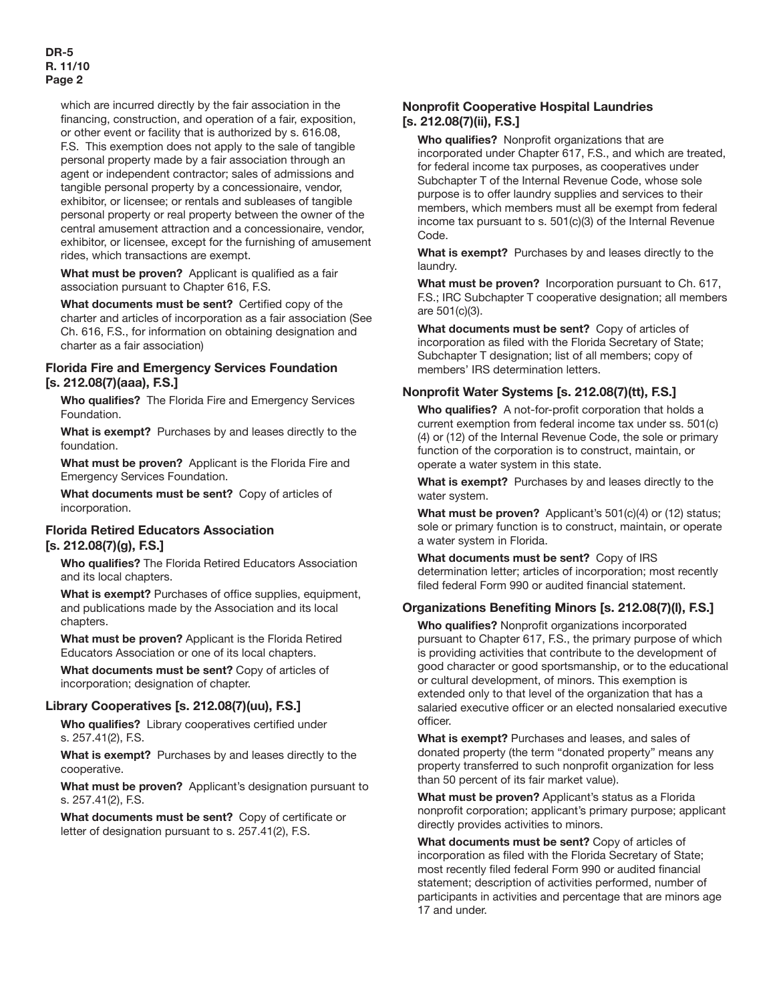which are incurred directly by the fair association in the financing, construction, and operation of a fair, exposition, or other event or facility that is authorized by s. 616.08, F.S. This exemption does not apply to the sale of tangible personal property made by a fair association through an agent or independent contractor; sales of admissions and tangible personal property by a concessionaire, vendor, exhibitor, or licensee; or rentals and subleases of tangible personal property or real property between the owner of the central amusement attraction and a concessionaire, vendor, exhibitor, or licensee, except for the furnishing of amusement rides, which transactions are exempt.

**What must be proven?** Applicant is qualified as a fair association pursuant to Chapter 616, F.S.

**What documents must be sent?** Certified copy of the charter and articles of incorporation as a fair association (See Ch. 616, F.S., for information on obtaining designation and charter as a fair association)

#### **Florida Fire and Emergency Services Foundation [s. 212.08(7)(aaa), F.S.]**

**Who qualifies?** The Florida Fire and Emergency Services Foundation.

**What is exempt?** Purchases by and leases directly to the foundation.

**What must be proven?** Applicant is the Florida Fire and Emergency Services Foundation.

**What documents must be sent?** Copy of articles of incorporation.

#### **Florida Retired Educators Association [s. 212.08(7)(g), F.S.]**

**Who qualifies?** The Florida Retired Educators Association and its local chapters.

**What is exempt?** Purchases of office supplies, equipment, and publications made by the Association and its local chapters.

**What must be proven?** Applicant is the Florida Retired Educators Association or one of its local chapters.

**What documents must be sent?** Copy of articles of incorporation; designation of chapter.

## **Library Cooperatives [s. 212.08(7)(uu), F.S.]**

**Who qualifies?** Library cooperatives certified under s. 257.41(2), F.S.

**What is exempt?** Purchases by and leases directly to the cooperative.

**What must be proven?** Applicant's designation pursuant to s. 257.41(2), F.S.

**What documents must be sent?** Copy of certificate or letter of designation pursuant to s. 257.41(2), F.S.

## **Nonprofit Cooperative Hospital Laundries [s. 212.08(7)(ii), F.S.]**

**Who qualifies?** Nonprofit organizations that are incorporated under Chapter 617, F.S., and which are treated, for federal income tax purposes, as cooperatives under Subchapter T of the Internal Revenue Code, whose sole purpose is to offer laundry supplies and services to their members, which members must all be exempt from federal income tax pursuant to s. 501(c)(3) of the Internal Revenue Code.

**What is exempt?** Purchases by and leases directly to the laundry.

**What must be proven?** Incorporation pursuant to Ch. 617, F.S.; IRC Subchapter T cooperative designation; all members are 501(c)(3).

**What documents must be sent?** Copy of articles of incorporation as filed with the Florida Secretary of State; Subchapter T designation; list of all members; copy of members' IRS determination letters.

## **Nonprofit Water Systems [s. 212.08(7)(tt), F.S.]**

**Who qualifies?** A not-for-profit corporation that holds a current exemption from federal income tax under ss. 501(c) (4) or (12) of the Internal Revenue Code, the sole or primary function of the corporation is to construct, maintain, or operate a water system in this state.

**What is exempt?** Purchases by and leases directly to the water system.

**What must be proven?** Applicant's 501(c)(4) or (12) status; sole or primary function is to construct, maintain, or operate a water system in Florida.

**What documents must be sent?** Copy of IRS determination letter; articles of incorporation; most recently filed federal Form 990 or audited financial statement.

## **Organizations Benefiting Minors [s. 212.08(7)(l), F.S.]**

**Who qualifies?** Nonprofit organizations incorporated pursuant to Chapter 617, F.S., the primary purpose of which is providing activities that contribute to the development of good character or good sportsmanship, or to the educational or cultural development, of minors. This exemption is extended only to that level of the organization that has a salaried executive officer or an elected nonsalaried executive officer.

**What is exempt?** Purchases and leases, and sales of donated property (the term "donated property" means any property transferred to such nonprofit organization for less than 50 percent of its fair market value).

**What must be proven?** Applicant's status as a Florida nonprofit corporation; applicant's primary purpose; applicant directly provides activities to minors.

**What documents must be sent?** Copy of articles of incorporation as filed with the Florida Secretary of State; most recently filed federal Form 990 or audited financial statement; description of activities performed, number of participants in activities and percentage that are minors age 17 and under.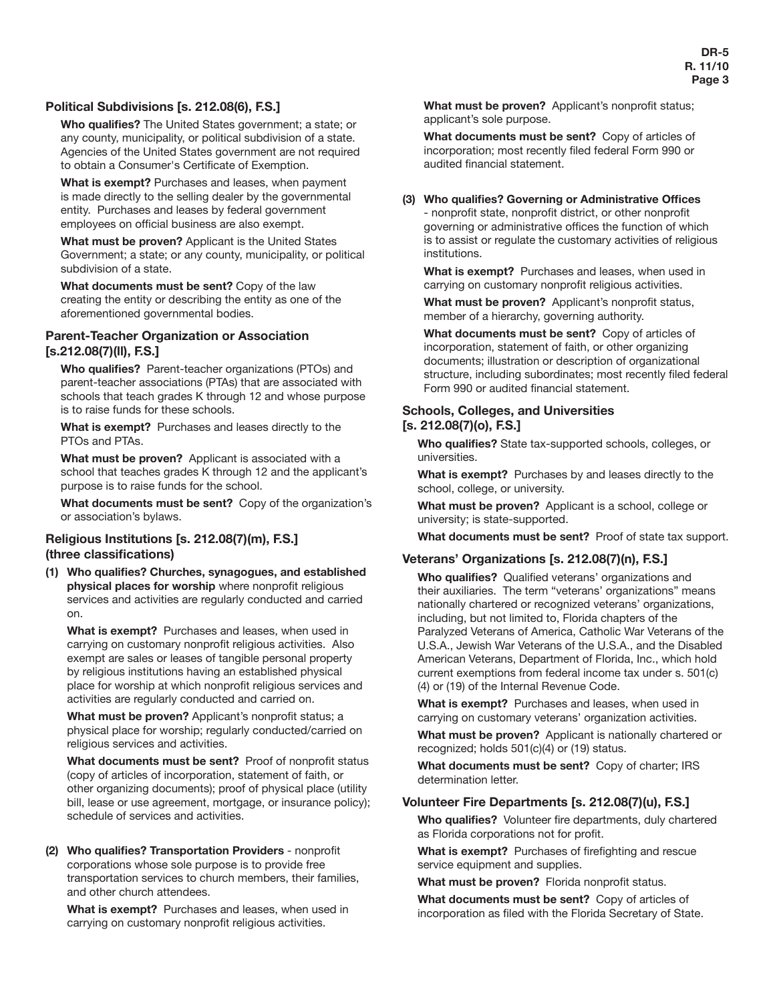## **Political Subdivisions [s. 212.08(6), F.S.]**

**Who qualifies?** The United States government; a state; or any county, municipality, or political subdivision of a state. Agencies of the United States government are not required to obtain a Consumer's Certificate of Exemption.

**What is exempt?** Purchases and leases, when payment is made directly to the selling dealer by the governmental entity. Purchases and leases by federal government employees on official business are also exempt.

**What must be proven?** Applicant is the United States Government; a state; or any county, municipality, or political subdivision of a state.

**What documents must be sent?** Copy of the law creating the entity or describing the entity as one of the aforementioned governmental bodies.

#### **Parent-Teacher Organization or Association [s.212.08(7)(ll), F.S.]**

**Who qualifies?** Parent-teacher organizations (PTOs) and parent-teacher associations (PTAs) that are associated with schools that teach grades K through 12 and whose purpose is to raise funds for these schools.

**What is exempt?** Purchases and leases directly to the PTOs and PTAs.

**What must be proven?** Applicant is associated with a school that teaches grades K through 12 and the applicant's purpose is to raise funds for the school.

**What documents must be sent?** Copy of the organization's or association's bylaws.

#### **Religious Institutions [s. 212.08(7)(m), F.S.] (three classifications)**

**(1) Who qualifies? Churches, synagogues, and established physical places for worship** where nonprofit religious services and activities are regularly conducted and carried on.

**What is exempt?** Purchases and leases, when used in carrying on customary nonprofit religious activities. Also exempt are sales or leases of tangible personal property by religious institutions having an established physical place for worship at which nonprofit religious services and activities are regularly conducted and carried on.

**What must be proven?** Applicant's nonprofit status; a physical place for worship; regularly conducted/carried on religious services and activities.

**What documents must be sent?** Proof of nonprofit status (copy of articles of incorporation, statement of faith, or other organizing documents); proof of physical place (utility bill, lease or use agreement, mortgage, or insurance policy); schedule of services and activities.

**(2) Who qualifies? Transportation Providers** - nonprofit corporations whose sole purpose is to provide free transportation services to church members, their families, and other church attendees.

**What is exempt?** Purchases and leases, when used in carrying on customary nonprofit religious activities.

**What must be proven?** Applicant's nonprofit status; applicant's sole purpose.

**What documents must be sent?** Copy of articles of incorporation; most recently filed federal Form 990 or audited financial statement.

#### **(3) Who qualifies? Governing or Administrative Offices**

- nonprofit state, nonprofit district, or other nonprofit governing or administrative offices the function of which is to assist or regulate the customary activities of religious institutions.

**What is exempt?** Purchases and leases, when used in carrying on customary nonprofit religious activities.

**What must be proven?** Applicant's nonprofit status, member of a hierarchy, governing authority.

**What documents must be sent?** Copy of articles of incorporation, statement of faith, or other organizing documents; illustration or description of organizational structure, including subordinates; most recently filed federal Form 990 or audited financial statement.

#### **Schools, Colleges, and Universities [s. 212.08(7)(o), F.S.]**

**Who qualifies?** State tax-supported schools, colleges, or universities.

**What is exempt?** Purchases by and leases directly to the school, college, or university.

**What must be proven?** Applicant is a school, college or university; is state-supported.

**What documents must be sent?** Proof of state tax support.

#### **Veterans' Organizations [s. 212.08(7)(n), F.S.]**

**Who qualifies?** Qualified veterans' organizations and their auxiliaries. The term "veterans' organizations" means nationally chartered or recognized veterans' organizations, including, but not limited to, Florida chapters of the Paralyzed Veterans of America, Catholic War Veterans of the U.S.A., Jewish War Veterans of the U.S.A., and the Disabled American Veterans, Department of Florida, Inc., which hold current exemptions from federal income tax under s. 501(c) (4) or (19) of the Internal Revenue Code.

**What is exempt?** Purchases and leases, when used in carrying on customary veterans' organization activities.

**What must be proven?** Applicant is nationally chartered or recognized; holds 501(c)(4) or (19) status.

**What documents must be sent?** Copy of charter; IRS determination letter.

#### **Volunteer Fire Departments [s. 212.08(7)(u), F.S.]**

**Who qualifies?** Volunteer fire departments, duly chartered as Florida corporations not for profit.

**What is exempt?** Purchases of firefighting and rescue service equipment and supplies.

**What must be proven?** Florida nonprofit status.

**What documents must be sent?** Copy of articles of incorporation as filed with the Florida Secretary of State.